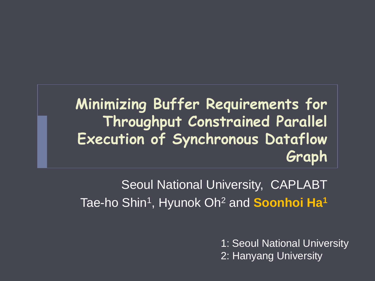#### **Minimizing Buffer Requirements for Throughput Constrained Parallel Execution of Synchronous Dataflow Graph**

Seoul National University, CAPLABT Tae-ho Shin<sup>1</sup> , Hyunok Oh<sup>2</sup> and **Soonhoi Ha<sup>1</sup>**

> 1: Seoul National University 2: Hanyang University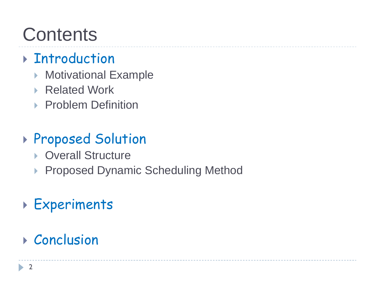### **Contents**

#### **F**Introduction

- ▶ Motivational Example
- ▶ Related Work
- **Problem Definition**

#### Proposed Solution

- ▶ Overall Structure
- ▶ Proposed Dynamic Scheduling Method

#### Experiments

#### ▶ Conclusion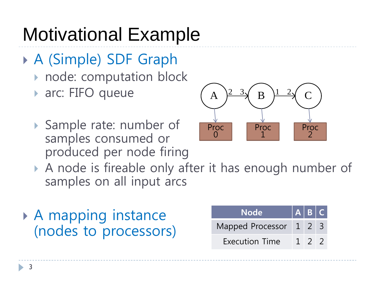# Motivational Example

- A (Simple) SDF Graph
	- node: computation block
	- ▶ arc: FIFO queue
	- ▶ Sample rate: number of samples consumed or produced per node firing



- A node is fireable only after it has enough number of samples on all input arcs
- A mapping instance (nodes to processors)

| <b>Node</b>            | A B C |                  |  |
|------------------------|-------|------------------|--|
| Mapped Processor 1 2 3 |       |                  |  |
| <b>Execution Time</b>  |       | $1 \overline{2}$ |  |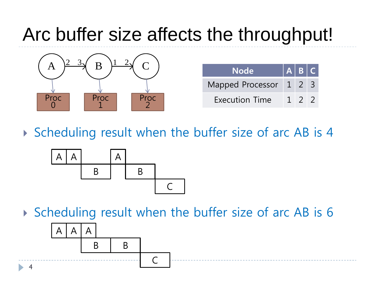### Arc buffer size affects the throughput!



| <b>Node</b>              | $A$ $B$ $C$ |                  |  |
|--------------------------|-------------|------------------|--|
| Mapped Processor   1 2 3 |             |                  |  |
| <b>Execution Time</b>    |             | $1 \overline{2}$ |  |

▶ Scheduling result when the buffer size of arc AB is 4



▶ Scheduling result when the buffer size of arc AB is 6

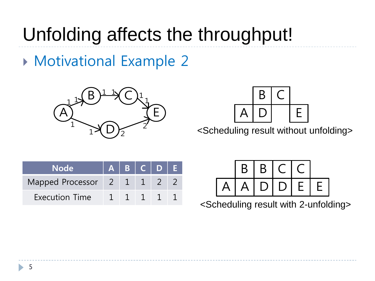### Unfolding affects the throughput!

Motivational Example 2





<Scheduling result without unfolding>

| <b>Node</b>                | $A$ $B$ $C$ $D$ $E$ |                |  |
|----------------------------|---------------------|----------------|--|
| Mapped Processor 2 1 1 2 2 |                     |                |  |
| <b>Execution Time</b>      |                     | $\overline{1}$ |  |



<Scheduling result with 2-unfolding>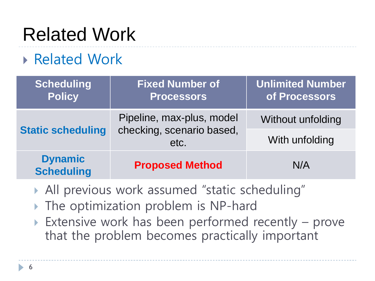# Related Work

#### Related Work

| Scheduling<br><b>Policy</b>         | <b>Fixed Number of</b><br><b>Processors</b>                    | Unlimited Number<br>of Processors   |
|-------------------------------------|----------------------------------------------------------------|-------------------------------------|
| <b>Static scheduling</b>            | Pipeline, max-plus, model<br>checking, scenario based,<br>etc. | Without unfolding<br>With unfolding |
| <b>Dynamic</b><br><b>Scheduling</b> | <b>Proposed Method</b>                                         | N/A                                 |

- All previous work assumed "static scheduling"
- The optimization problem is NP-hard
- Extensive work has been performed recently prove that the problem becomes practically important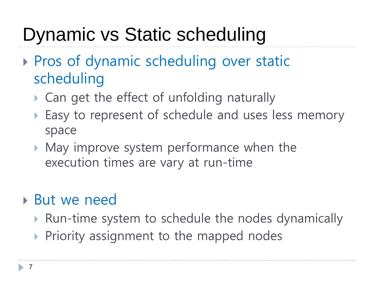### Dynamic vs Static scheduling

- ▶ Pros of dynamic scheduling over static scheduling
	- ▶ Can get the effect of unfolding naturally
	- ▶ Easy to represent of schedule and uses less memory space
	- May improve system performance when the execution times are vary at run-time

#### But we need

- ▶ Run-time system to schedule the nodes dynamically
- $\triangleright$  Priority assignment to the mapped nodes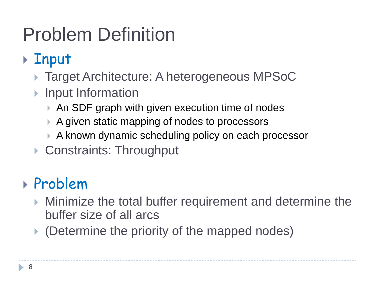# Problem Definition

### ▶ Input

- ▶ Target Architecture: A heterogeneous MPSoC
- ▶ Input Information
	- ▶ An SDF graph with given execution time of nodes
	- ▶ A given static mapping of nodes to processors
	- A known dynamic scheduling policy on each processor
- ▶ Constraints: Throughput

#### Problem

- Minimize the total buffer requirement and determine the buffer size of all arcs
- ▶ (Determine the priority of the mapped nodes)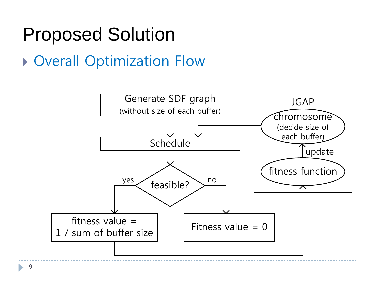### Proposed Solution

#### Overall Optimization Flow

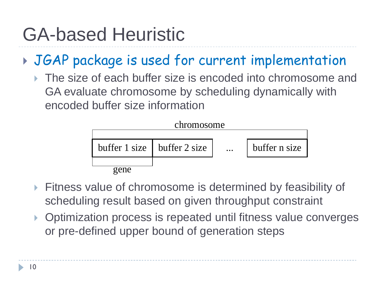### GA-based Heuristic

#### JGAP package is used for current implementation

 The size of each buffer size is encoded into chromosome and GA evaluate chromosome by scheduling dynamically with encoded buffer size information



- Fitness value of chromosome is determined by feasibility of scheduling result based on given throughput constraint
- ▶ Optimization process is repeated until fitness value converges or pre-defined upper bound of generation steps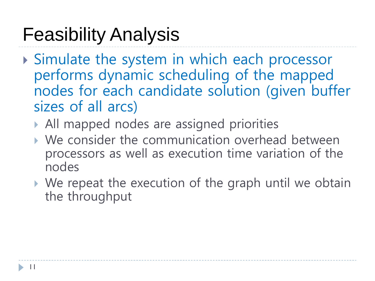### Feasibility Analysis

- Simulate the system in which each processor performs dynamic scheduling of the mapped nodes for each candidate solution (given buffer sizes of all arcs)
	- All mapped nodes are assigned priorities
	- We consider the communication overhead between processors as well as execution time variation of the nodes
	- We repeat the execution of the graph until we obtain the throughput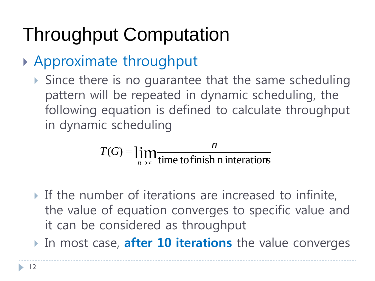# Throughput Computation

#### Approximate throughput

Since there is no quarantee that the same scheduling pattern will be repeated in dynamic scheduling, the following equation is defined to calculate throughput in dynamic scheduling

$$
T(G) = \lim_{n \to \infty} \frac{n}{\text{time to finish n interactions}}
$$

- If the number of iterations are increased to infinite, the value of equation converges to specific value and it can be considered as throughput
- In most case, **after 10 iterations** the value converges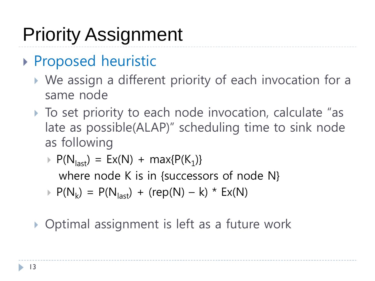# Priority Assignment

#### ▶ Proposed heuristic

- We assign a different priority of each invocation for a same node
- ▶ To set priority to each node invocation, calculate "as late as possible(ALAP)" scheduling time to sink node as following
	- $\triangleright$  P(N<sub>last</sub>) = Ex(N) + max{P(K<sub>1</sub>)} where node K is in {successors of node N}
	- $\triangleright$  P(N<sub>k</sub>) = P(N<sub>last</sub>) + (rep(N) k) \* Ex(N)

▶ Optimal assignment is left as a future work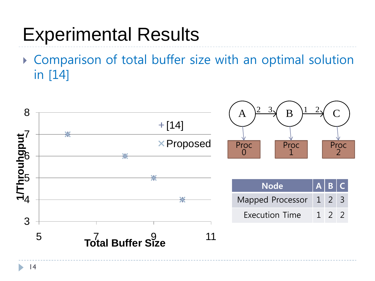### Experimental Results

 Comparison of total buffer size with an optimal solution in [14]

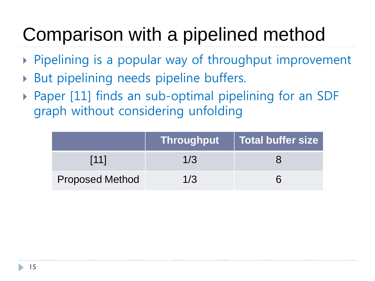# Comparison with a pipelined method

- Pipelining is a popular way of throughput improvement
- But pipelining needs pipeline buffers.
- Paper [11] finds an sub-optimal pipelining for an SDF graph without considering unfolding

|                        | Throughput | Total buffer size |
|------------------------|------------|-------------------|
| [11]                   | 1/3        |                   |
| <b>Proposed Method</b> | 1/3        |                   |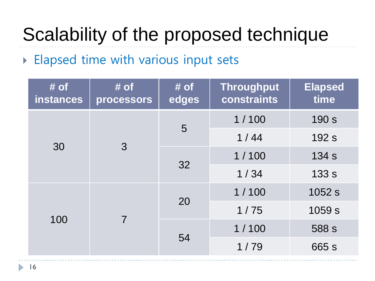# Scalability of the proposed technique

#### **Elapsed time with various input sets**

| $#$ of<br><b>instances</b> | $#$ of<br>processors | $#$ of<br>edges | <b>Throughput</b><br>constraints | <b>Elapsed</b><br>time |
|----------------------------|----------------------|-----------------|----------------------------------|------------------------|
| 30                         | $\mathcal{S}$        | 5               | 1/100                            | 190 s                  |
|                            |                      |                 | $1/44$                           | 192 s                  |
|                            |                      |                 | 1/100                            | 134 s                  |
|                            |                      | 32              | 1/34                             | 133 s                  |
| 100                        | 7                    | 20              | 1/100                            | 1052 s                 |
|                            |                      |                 | 1/75                             | 1059 s                 |
|                            |                      | 54              | 1/100                            | 588 s                  |
|                            |                      |                 | 1/79                             | 665 s                  |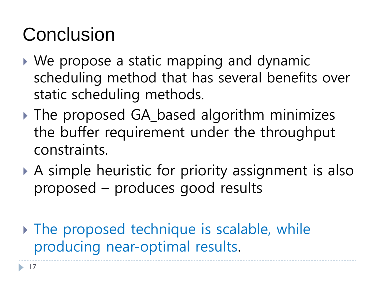### Conclusion

- We propose a static mapping and dynamic scheduling method that has several benefits over static scheduling methods.
- ▶ The proposed GA\_based algorithm minimizes the buffer requirement under the throughput constraints.
- A simple heuristic for priority assignment is also proposed – produces good results
- $\triangleright$  The proposed technique is scalable, while producing near-optimal results.